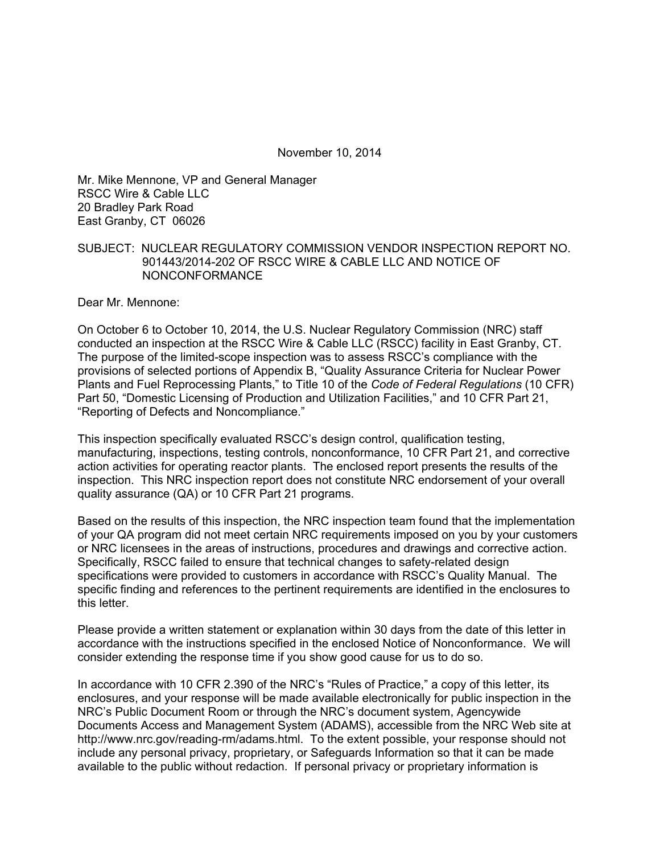November 10, 2014

Mr. Mike Mennone, VP and General Manager RSCC Wire & Cable LLC 20 Bradley Park Road East Granby, CT 06026

#### SUBJECT: NUCLEAR REGULATORY COMMISSION VENDOR INSPECTION REPORT NO. 901443/2014-202 OF RSCC WIRE & CABLE LLC AND NOTICE OF NONCONFORMANCE

Dear Mr. Mennone:

On October 6 to October 10, 2014, the U.S. Nuclear Regulatory Commission (NRC) staff conducted an inspection at the RSCC Wire & Cable LLC (RSCC) facility in East Granby, CT. The purpose of the limited-scope inspection was to assess RSCC's compliance with the provisions of selected portions of Appendix B, "Quality Assurance Criteria for Nuclear Power Plants and Fuel Reprocessing Plants," to Title 10 of the *Code of Federal Regulations* (10 CFR) Part 50, "Domestic Licensing of Production and Utilization Facilities," and 10 CFR Part 21, "Reporting of Defects and Noncompliance."

This inspection specifically evaluated RSCC's design control, qualification testing, manufacturing, inspections, testing controls, nonconformance, 10 CFR Part 21, and corrective action activities for operating reactor plants. The enclosed report presents the results of the inspection. This NRC inspection report does not constitute NRC endorsement of your overall quality assurance (QA) or 10 CFR Part 21 programs.

Based on the results of this inspection, the NRC inspection team found that the implementation of your QA program did not meet certain NRC requirements imposed on you by your customers or NRC licensees in the areas of instructions, procedures and drawings and corrective action. Specifically, RSCC failed to ensure that technical changes to safety-related design specifications were provided to customers in accordance with RSCC's Quality Manual. The specific finding and references to the pertinent requirements are identified in the enclosures to this letter.

Please provide a written statement or explanation within 30 days from the date of this letter in accordance with the instructions specified in the enclosed Notice of Nonconformance. We will consider extending the response time if you show good cause for us to do so.

In accordance with 10 CFR 2.390 of the NRC's "Rules of Practice," a copy of this letter, its enclosures, and your response will be made available electronically for public inspection in the NRC's Public Document Room or through the NRC's document system, Agencywide Documents Access and Management System (ADAMS), accessible from the NRC Web site at http://www.nrc.gov/reading-rm/adams.html. To the extent possible, your response should not include any personal privacy, proprietary, or Safeguards Information so that it can be made available to the public without redaction. If personal privacy or proprietary information is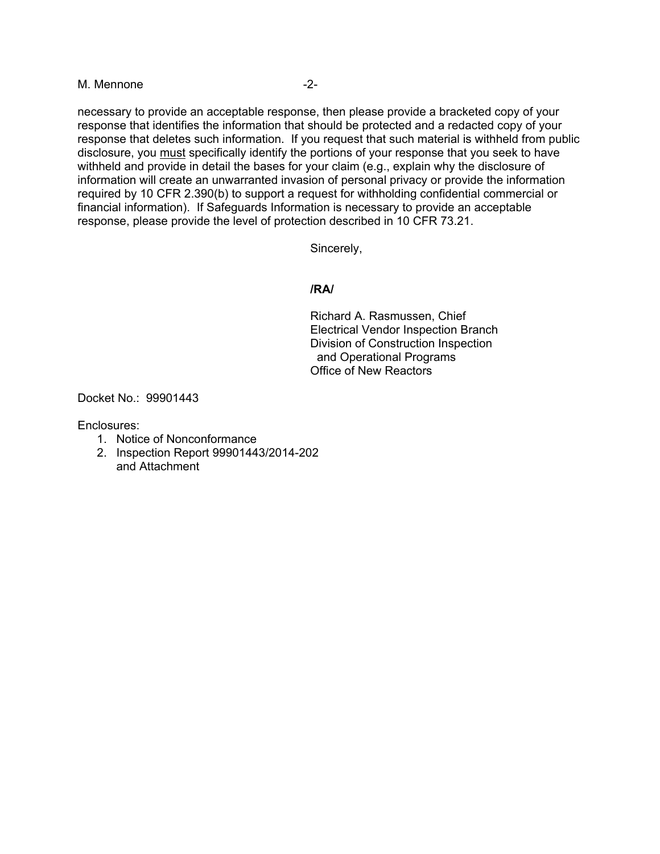#### M. Mennone  $-2$ -

necessary to provide an acceptable response, then please provide a bracketed copy of your response that identifies the information that should be protected and a redacted copy of your response that deletes such information. If you request that such material is withheld from public disclosure, you must specifically identify the portions of your response that you seek to have withheld and provide in detail the bases for your claim (e.g., explain why the disclosure of information will create an unwarranted invasion of personal privacy or provide the information required by 10 CFR 2.390(b) to support a request for withholding confidential commercial or financial information). If Safeguards Information is necessary to provide an acceptable response, please provide the level of protection described in 10 CFR 73.21.

Sincerely,

#### **/RA/**

Richard A. Rasmussen, Chief Electrical Vendor Inspection Branch Division of Construction Inspection and Operational Programs Office of New Reactors

Docket No.: 99901443

Enclosures:

- 1. Notice of Nonconformance
- 2. Inspection Report 99901443/2014-202 and Attachment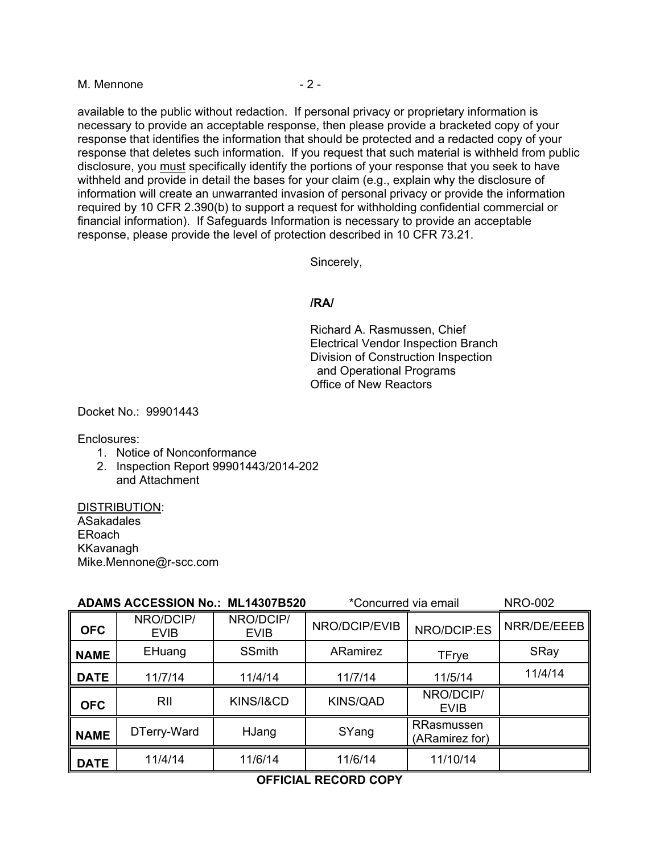#### M. Mennone  $-2$  -

available to the public without redaction. If personal privacy or proprietary information is necessary to provide an acceptable response, then please provide a bracketed copy of your response that identifies the information that should be protected and a redacted copy of your response that deletes such information. If you request that such material is withheld from public disclosure, you must specifically identify the portions of your response that you seek to have withheld and provide in detail the bases for your claim (e.g., explain why the disclosure of information will create an unwarranted invasion of personal privacy or provide the information required by 10 CFR 2.390(b) to support a request for withholding confidential commercial or financial information). If Safeguards Information is necessary to provide an acceptable response, please provide the level of protection described in 10 CFR 73.21.

Sincerely,

### **/RA/**

Richard A. Rasmussen, Chief Electrical Vendor Inspection Branch Division of Construction Inspection and Operational Programs Office of New Reactors

Docket No.: 99901443

Enclosures:

- 1. Notice of Nonconformance
- 2. Inspection Report 99901443/2014-202 and Attachment

DISTRIBUTION: ASakadales ERoach KKavanagh Mike.Mennone@r-scc.com

| ADAMS ACCESSION No.: ML14307B520 |                          |                          | *Concurred via email | <b>NRO-002</b>               |             |
|----------------------------------|--------------------------|--------------------------|----------------------|------------------------------|-------------|
| <b>OFC</b>                       | NRO/DCIP/<br><b>EVIB</b> | NRO/DCIP/<br><b>EVIB</b> | NRO/DCIP/EVIB        | NRO/DCIP:ES                  | NRR/DE/EEEB |
| <b>NAME</b>                      | EHuang                   | <b>SSmith</b>            | ARamirez             | <b>TFrye</b>                 | SRay        |
| <b>DATE</b>                      | 11/7/14                  | 11/4/14                  | 11/7/14              | 11/5/14                      | 11/4/14     |
| <b>OFC</b>                       | RII                      | KINS/I&CD                | <b>KINS/QAD</b>      | NRO/DCIP/<br><b>EVIB</b>     |             |
| <b>NAME</b>                      | DTerry-Ward              | HJang                    | SYang                | RRasmussen<br>(ARamirez for) |             |
| <b>DATE</b>                      | 11/4/14                  | 11/6/14                  | 11/6/14              | 11/10/14                     |             |

# **OFFICIAL RECORD COPY**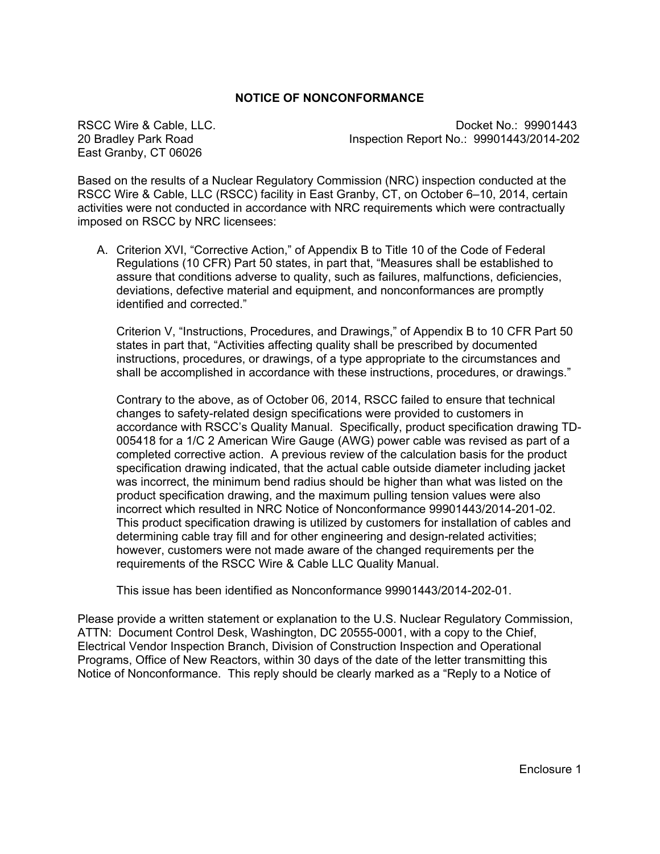#### **NOTICE OF NONCONFORMANCE**

East Granby, CT 06026

RSCC Wire & Cable, LLC. Docket No.: 99901443 20 Bradley Park Road **Inspection Report No.: 99901443/2014-202** 

Based on the results of a Nuclear Regulatory Commission (NRC) inspection conducted at the RSCC Wire & Cable, LLC (RSCC) facility in East Granby, CT, on October 6–10, 2014, certain activities were not conducted in accordance with NRC requirements which were contractually imposed on RSCC by NRC licensees:

A. Criterion XVI, "Corrective Action," of Appendix B to Title 10 of the Code of Federal Regulations (10 CFR) Part 50 states, in part that, "Measures shall be established to assure that conditions adverse to quality, such as failures, malfunctions, deficiencies, deviations, defective material and equipment, and nonconformances are promptly identified and corrected."

Criterion V, "Instructions, Procedures, and Drawings," of Appendix B to 10 CFR Part 50 states in part that, "Activities affecting quality shall be prescribed by documented instructions, procedures, or drawings, of a type appropriate to the circumstances and shall be accomplished in accordance with these instructions, procedures, or drawings."

Contrary to the above, as of October 06, 2014, RSCC failed to ensure that technical changes to safety-related design specifications were provided to customers in accordance with RSCC's Quality Manual. Specifically, product specification drawing TD-005418 for a 1/C 2 American Wire Gauge (AWG) power cable was revised as part of a completed corrective action. A previous review of the calculation basis for the product specification drawing indicated, that the actual cable outside diameter including jacket was incorrect, the minimum bend radius should be higher than what was listed on the product specification drawing, and the maximum pulling tension values were also incorrect which resulted in NRC Notice of Nonconformance 99901443/2014-201-02. This product specification drawing is utilized by customers for installation of cables and determining cable tray fill and for other engineering and design-related activities; however, customers were not made aware of the changed requirements per the requirements of the RSCC Wire & Cable LLC Quality Manual.

This issue has been identified as Nonconformance 99901443/2014-202-01.

Please provide a written statement or explanation to the U.S. Nuclear Regulatory Commission, ATTN: Document Control Desk, Washington, DC 20555-0001, with a copy to the Chief, Electrical Vendor Inspection Branch, Division of Construction Inspection and Operational Programs, Office of New Reactors, within 30 days of the date of the letter transmitting this Notice of Nonconformance. This reply should be clearly marked as a "Reply to a Notice of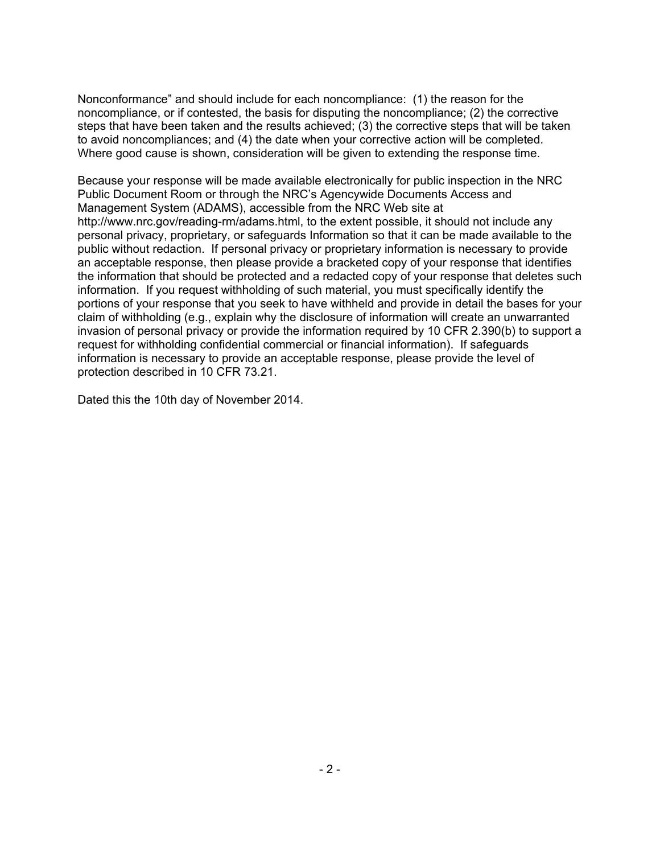Nonconformance" and should include for each noncompliance: (1) the reason for the noncompliance, or if contested, the basis for disputing the noncompliance; (2) the corrective steps that have been taken and the results achieved; (3) the corrective steps that will be taken to avoid noncompliances; and (4) the date when your corrective action will be completed. Where good cause is shown, consideration will be given to extending the response time.

Because your response will be made available electronically for public inspection in the NRC Public Document Room or through the NRC's Agencywide Documents Access and Management System (ADAMS), accessible from the NRC Web site at http://www.nrc.gov/reading-rm/adams.html, to the extent possible, it should not include any personal privacy, proprietary, or safeguards Information so that it can be made available to the public without redaction. If personal privacy or proprietary information is necessary to provide an acceptable response, then please provide a bracketed copy of your response that identifies the information that should be protected and a redacted copy of your response that deletes such information. If you request withholding of such material, you must specifically identify the portions of your response that you seek to have withheld and provide in detail the bases for your claim of withholding (e.g., explain why the disclosure of information will create an unwarranted invasion of personal privacy or provide the information required by 10 CFR 2.390(b) to support a request for withholding confidential commercial or financial information). If safeguards information is necessary to provide an acceptable response, please provide the level of protection described in 10 CFR 73.21.

Dated this the 10th day of November 2014.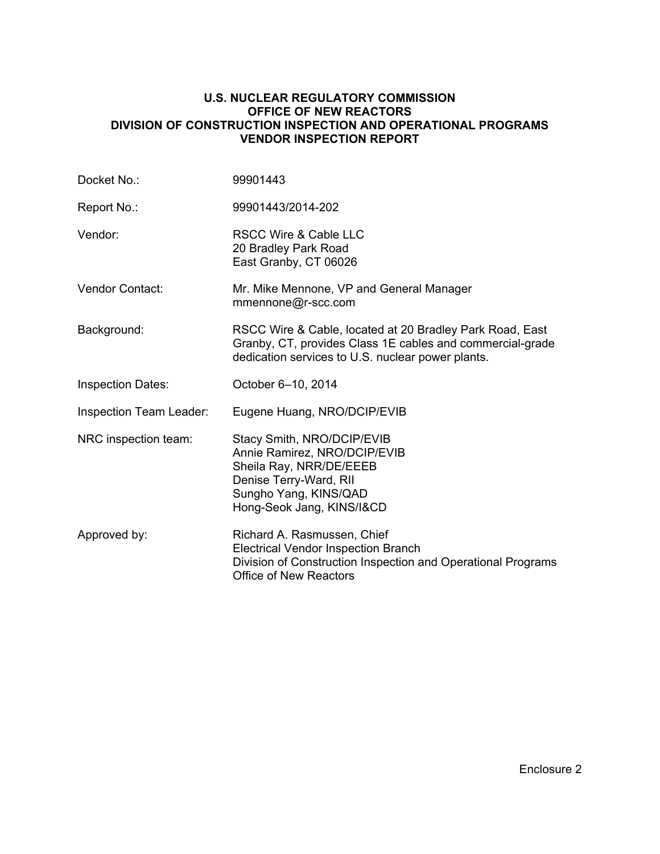#### **U.S. NUCLEAR REGULATORY COMMISSION OFFICE OF NEW REACTORS DIVISION OF CONSTRUCTION INSPECTION AND OPERATIONAL PROGRAMS VENDOR INSPECTION REPORT**

| Docket No.:              | 99901443                                                                                                                                                                   |
|--------------------------|----------------------------------------------------------------------------------------------------------------------------------------------------------------------------|
| Report No.:              | 99901443/2014-202                                                                                                                                                          |
| Vendor:                  | RSCC Wire & Cable LLC<br>20 Bradley Park Road<br>East Granby, CT 06026                                                                                                     |
| Vendor Contact:          | Mr. Mike Mennone, VP and General Manager<br>mmennone@r-scc.com                                                                                                             |
| Background:              | RSCC Wire & Cable, located at 20 Bradley Park Road, East<br>Granby, CT, provides Class 1E cables and commercial-grade<br>dedication services to U.S. nuclear power plants. |
| <b>Inspection Dates:</b> | October 6-10, 2014                                                                                                                                                         |
| Inspection Team Leader:  | Eugene Huang, NRO/DCIP/EVIB                                                                                                                                                |
| NRC inspection team:     | Stacy Smith, NRO/DCIP/EVIB<br>Annie Ramirez, NRO/DCIP/EVIB<br>Sheila Ray, NRR/DE/EEEB<br>Denise Terry-Ward, RII<br>Sungho Yang, KINS/QAD<br>Hong-Seok Jang, KINS/I&CD      |
| Approved by:             | Richard A. Rasmussen, Chief<br><b>Electrical Vendor Inspection Branch</b><br>Division of Construction Inspection and Operational Programs<br><b>Office of New Reactors</b> |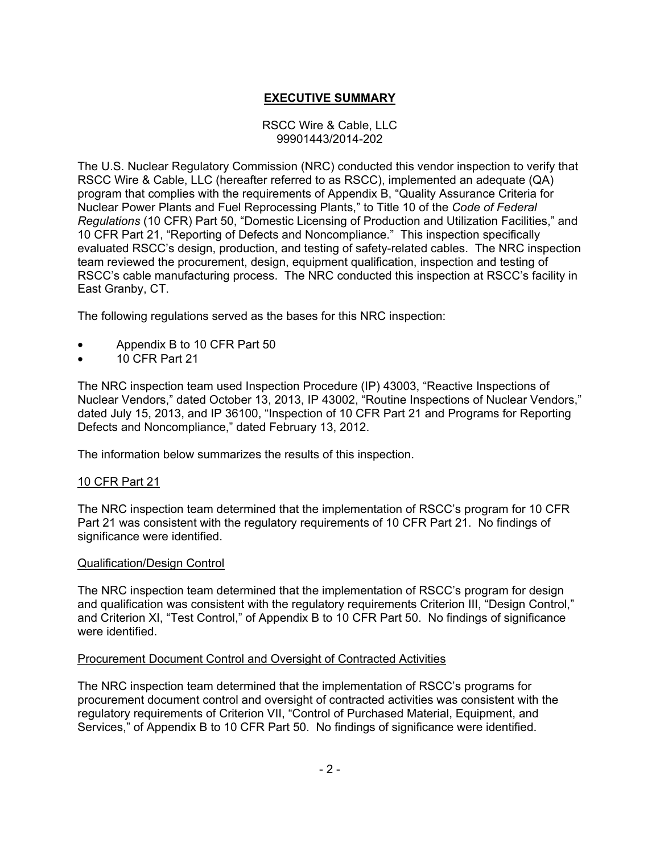# **EXECUTIVE SUMMARY**

### RSCC Wire & Cable, LLC 99901443/2014-202

The U.S. Nuclear Regulatory Commission (NRC) conducted this vendor inspection to verify that RSCC Wire & Cable, LLC (hereafter referred to as RSCC), implemented an adequate (QA) program that complies with the requirements of Appendix B, "Quality Assurance Criteria for Nuclear Power Plants and Fuel Reprocessing Plants," to Title 10 of the *Code of Federal Regulations* (10 CFR) Part 50, "Domestic Licensing of Production and Utilization Facilities," and 10 CFR Part 21, "Reporting of Defects and Noncompliance." This inspection specifically evaluated RSCC's design, production, and testing of safety-related cables. The NRC inspection team reviewed the procurement, design, equipment qualification, inspection and testing of RSCC's cable manufacturing process. The NRC conducted this inspection at RSCC's facility in East Granby, CT.

The following regulations served as the bases for this NRC inspection:

- Appendix B to 10 CFR Part 50
- 10 CFR Part 21

The NRC inspection team used Inspection Procedure (IP) 43003, "Reactive Inspections of Nuclear Vendors," dated October 13, 2013, IP 43002, "Routine Inspections of Nuclear Vendors," dated July 15, 2013, and IP 36100, "Inspection of 10 CFR Part 21 and Programs for Reporting Defects and Noncompliance," dated February 13, 2012.

The information below summarizes the results of this inspection.

## 10 CFR Part 21

The NRC inspection team determined that the implementation of RSCC's program for 10 CFR Part 21 was consistent with the regulatory requirements of 10 CFR Part 21. No findings of significance were identified.

#### Qualification/Design Control

The NRC inspection team determined that the implementation of RSCC's program for design and qualification was consistent with the regulatory requirements Criterion III, "Design Control," and Criterion XI, "Test Control," of Appendix B to 10 CFR Part 50. No findings of significance were identified.

#### Procurement Document Control and Oversight of Contracted Activities

The NRC inspection team determined that the implementation of RSCC's programs for procurement document control and oversight of contracted activities was consistent with the regulatory requirements of Criterion VII, "Control of Purchased Material, Equipment, and Services," of Appendix B to 10 CFR Part 50. No findings of significance were identified.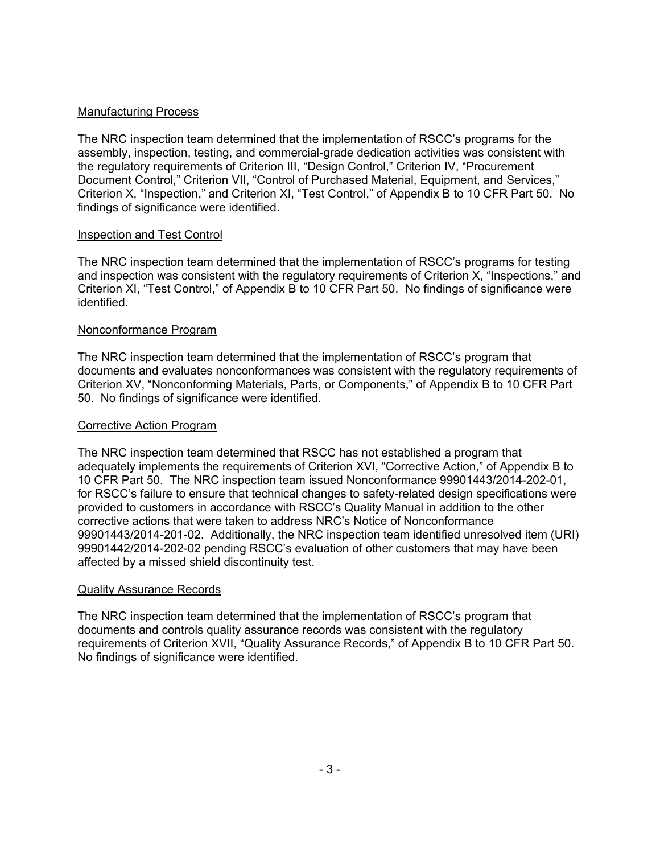## Manufacturing Process

The NRC inspection team determined that the implementation of RSCC's programs for the assembly, inspection, testing, and commercial-grade dedication activities was consistent with the regulatory requirements of Criterion III, "Design Control," Criterion IV, "Procurement Document Control," Criterion VII, "Control of Purchased Material, Equipment, and Services," Criterion X, "Inspection," and Criterion XI, "Test Control," of Appendix B to 10 CFR Part 50. No findings of significance were identified.

## Inspection and Test Control

The NRC inspection team determined that the implementation of RSCC's programs for testing and inspection was consistent with the regulatory requirements of Criterion X, "Inspections," and Criterion XI, "Test Control," of Appendix B to 10 CFR Part 50. No findings of significance were identified.

### Nonconformance Program

The NRC inspection team determined that the implementation of RSCC's program that documents and evaluates nonconformances was consistent with the regulatory requirements of Criterion XV, "Nonconforming Materials, Parts, or Components," of Appendix B to 10 CFR Part 50. No findings of significance were identified.

### Corrective Action Program

The NRC inspection team determined that RSCC has not established a program that adequately implements the requirements of Criterion XVI, "Corrective Action," of Appendix B to 10 CFR Part 50. The NRC inspection team issued Nonconformance 99901443/2014-202-01, for RSCC's failure to ensure that technical changes to safety-related design specifications were provided to customers in accordance with RSCC's Quality Manual in addition to the other corrective actions that were taken to address NRC's Notice of Nonconformance 99901443/2014-201-02. Additionally, the NRC inspection team identified unresolved item (URI) 99901442/2014-202-02 pending RSCC's evaluation of other customers that may have been affected by a missed shield discontinuity test.

#### Quality Assurance Records

The NRC inspection team determined that the implementation of RSCC's program that documents and controls quality assurance records was consistent with the regulatory requirements of Criterion XVII, "Quality Assurance Records," of Appendix B to 10 CFR Part 50. No findings of significance were identified.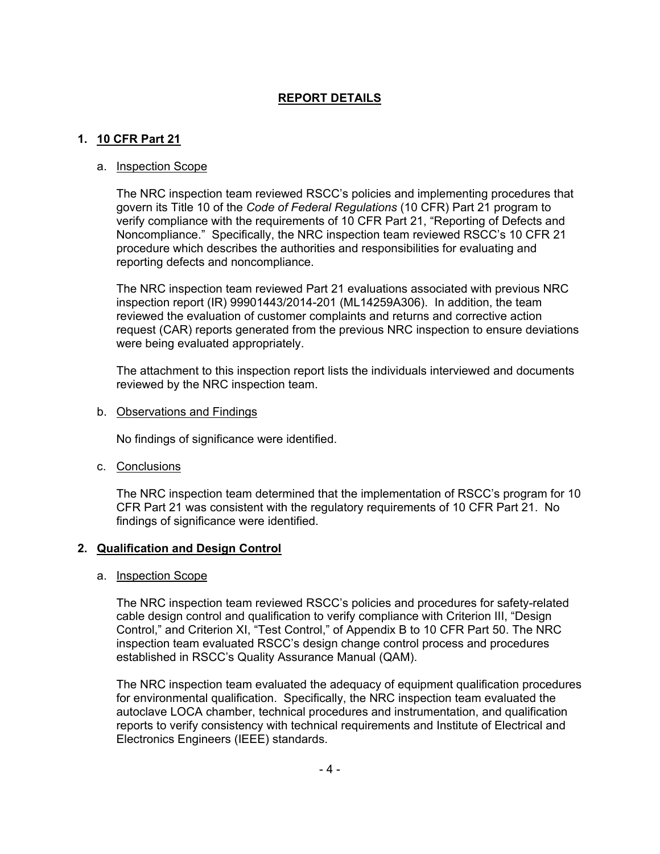# **REPORT DETAILS**

# **1. 10 CFR Part 21**

### a. Inspection Scope

The NRC inspection team reviewed RSCC's policies and implementing procedures that govern its Title 10 of the *Code of Federal Regulations* (10 CFR) Part 21 program to verify compliance with the requirements of 10 CFR Part 21, "Reporting of Defects and Noncompliance." Specifically, the NRC inspection team reviewed RSCC's 10 CFR 21 procedure which describes the authorities and responsibilities for evaluating and reporting defects and noncompliance.

The NRC inspection team reviewed Part 21 evaluations associated with previous NRC inspection report (IR) 99901443/2014-201 (ML14259A306). In addition, the team reviewed the evaluation of customer complaints and returns and corrective action request (CAR) reports generated from the previous NRC inspection to ensure deviations were being evaluated appropriately.

The attachment to this inspection report lists the individuals interviewed and documents reviewed by the NRC inspection team.

b. Observations and Findings

No findings of significance were identified.

c. Conclusions

The NRC inspection team determined that the implementation of RSCC's program for 10 CFR Part 21 was consistent with the regulatory requirements of 10 CFR Part 21. No findings of significance were identified.

## **2. Qualification and Design Control**

#### a. Inspection Scope

The NRC inspection team reviewed RSCC's policies and procedures for safety-related cable design control and qualification to verify compliance with Criterion III, "Design Control," and Criterion XI, "Test Control," of Appendix B to 10 CFR Part 50. The NRC inspection team evaluated RSCC's design change control process and procedures established in RSCC's Quality Assurance Manual (QAM).

The NRC inspection team evaluated the adequacy of equipment qualification procedures for environmental qualification. Specifically, the NRC inspection team evaluated the autoclave LOCA chamber, technical procedures and instrumentation, and qualification reports to verify consistency with technical requirements and Institute of Electrical and Electronics Engineers (IEEE) standards.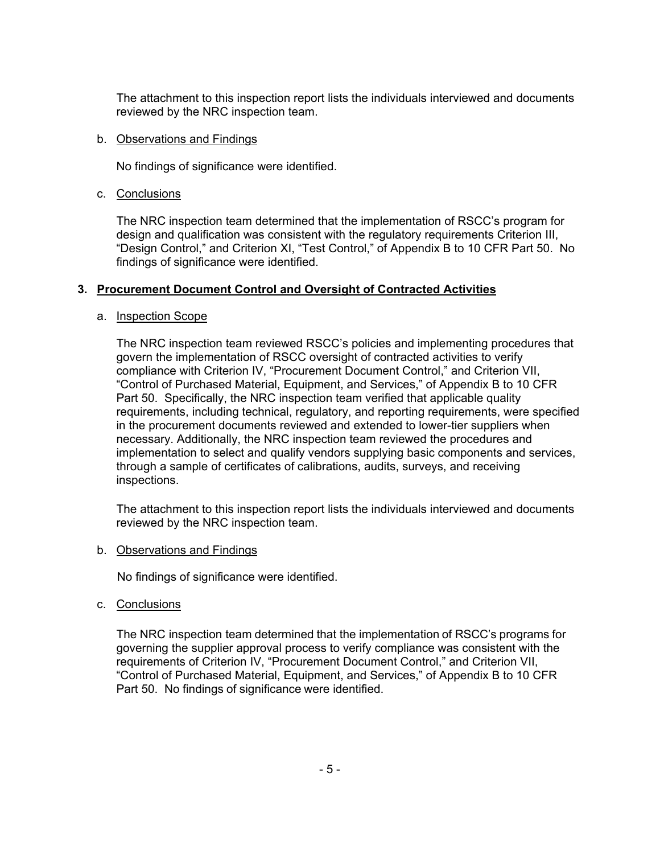The attachment to this inspection report lists the individuals interviewed and documents reviewed by the NRC inspection team.

### b. Observations and Findings

No findings of significance were identified.

### c. Conclusions

The NRC inspection team determined that the implementation of RSCC's program for design and qualification was consistent with the regulatory requirements Criterion III, "Design Control," and Criterion XI, "Test Control," of Appendix B to 10 CFR Part 50. No findings of significance were identified.

## **3. Procurement Document Control and Oversight of Contracted Activities**

### a. Inspection Scope

The NRC inspection team reviewed RSCC's policies and implementing procedures that govern the implementation of RSCC oversight of contracted activities to verify compliance with Criterion IV, "Procurement Document Control," and Criterion VII, "Control of Purchased Material, Equipment, and Services," of Appendix B to 10 CFR Part 50. Specifically, the NRC inspection team verified that applicable quality requirements, including technical, regulatory, and reporting requirements, were specified in the procurement documents reviewed and extended to lower-tier suppliers when necessary. Additionally, the NRC inspection team reviewed the procedures and implementation to select and qualify vendors supplying basic components and services, through a sample of certificates of calibrations, audits, surveys, and receiving inspections.

The attachment to this inspection report lists the individuals interviewed and documents reviewed by the NRC inspection team.

#### b. Observations and Findings

No findings of significance were identified.

c. Conclusions

The NRC inspection team determined that the implementation of RSCC's programs for governing the supplier approval process to verify compliance was consistent with the requirements of Criterion IV, "Procurement Document Control," and Criterion VII, "Control of Purchased Material, Equipment, and Services," of Appendix B to 10 CFR Part 50. No findings of significance were identified.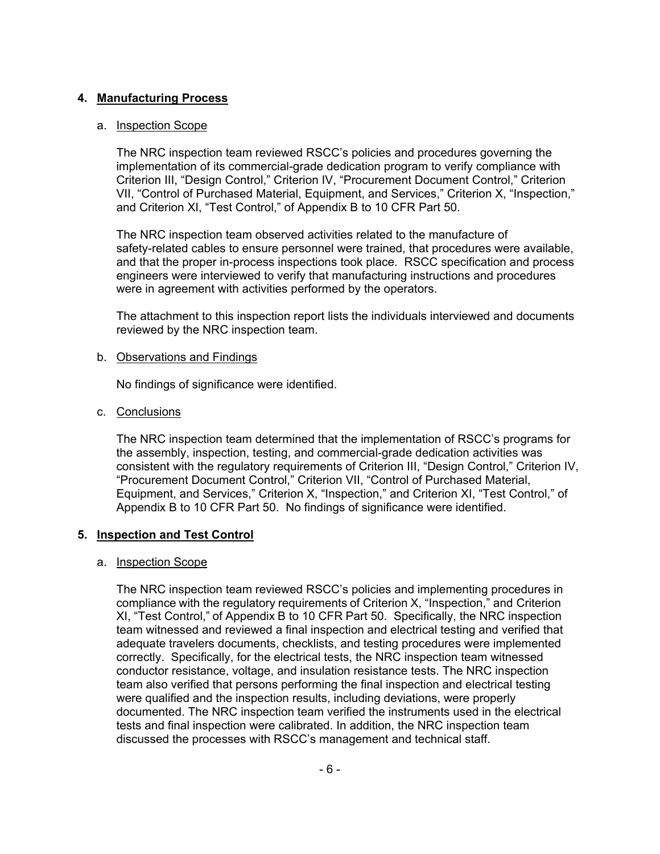## **4. Manufacturing Process**

### a. Inspection Scope

The NRC inspection team reviewed RSCC's policies and procedures governing the implementation of its commercial-grade dedication program to verify compliance with Criterion III, "Design Control," Criterion IV, "Procurement Document Control," Criterion VII, "Control of Purchased Material, Equipment, and Services," Criterion X, "Inspection," and Criterion XI, "Test Control," of Appendix B to 10 CFR Part 50.

The NRC inspection team observed activities related to the manufacture of safety-related cables to ensure personnel were trained, that procedures were available, and that the proper in-process inspections took place. RSCC specification and process engineers were interviewed to verify that manufacturing instructions and procedures were in agreement with activities performed by the operators.

The attachment to this inspection report lists the individuals interviewed and documents reviewed by the NRC inspection team.

### b. Observations and Findings

No findings of significance were identified.

## c. Conclusions

The NRC inspection team determined that the implementation of RSCC's programs for the assembly, inspection, testing, and commercial-grade dedication activities was consistent with the regulatory requirements of Criterion III, "Design Control," Criterion IV, "Procurement Document Control," Criterion VII, "Control of Purchased Material, Equipment, and Services," Criterion X, "Inspection," and Criterion XI, "Test Control," of Appendix B to 10 CFR Part 50. No findings of significance were identified.

## **5. Inspection and Test Control**

## a. Inspection Scope

The NRC inspection team reviewed RSCC's policies and implementing procedures in compliance with the regulatory requirements of Criterion X, "Inspection," and Criterion XI, "Test Control," of Appendix B to 10 CFR Part 50. Specifically, the NRC inspection team witnessed and reviewed a final inspection and electrical testing and verified that adequate travelers documents, checklists, and testing procedures were implemented correctly. Specifically, for the electrical tests, the NRC inspection team witnessed conductor resistance, voltage, and insulation resistance tests. The NRC inspection team also verified that persons performing the final inspection and electrical testing were qualified and the inspection results, including deviations, were properly documented. The NRC inspection team verified the instruments used in the electrical tests and final inspection were calibrated. In addition, the NRC inspection team discussed the processes with RSCC's management and technical staff.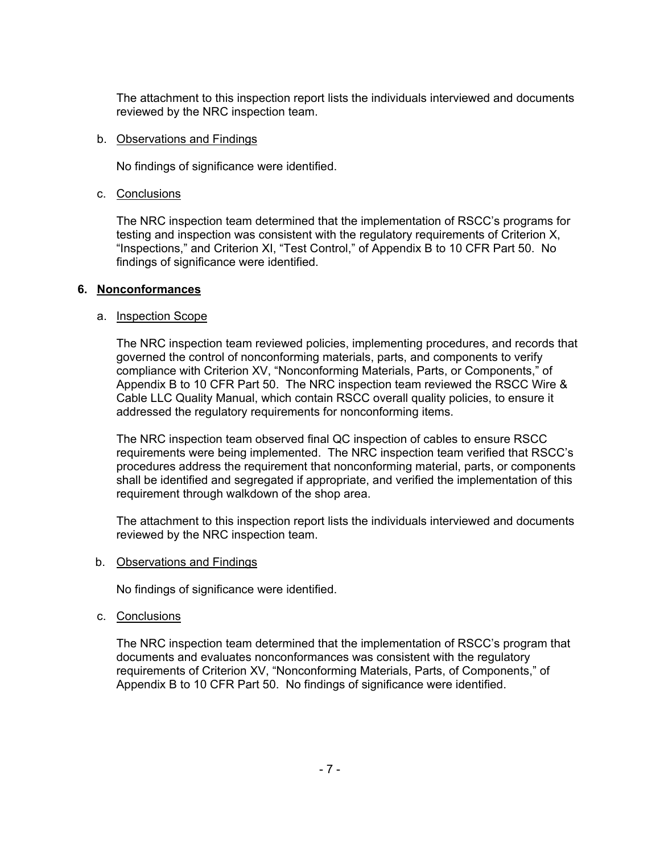The attachment to this inspection report lists the individuals interviewed and documents reviewed by the NRC inspection team.

#### b. Observations and Findings

No findings of significance were identified.

## c. Conclusions

The NRC inspection team determined that the implementation of RSCC's programs for testing and inspection was consistent with the regulatory requirements of Criterion X, "Inspections," and Criterion XI, "Test Control," of Appendix B to 10 CFR Part 50. No findings of significance were identified.

### **6. Nonconformances**

### a. Inspection Scope

The NRC inspection team reviewed policies, implementing procedures, and records that governed the control of nonconforming materials, parts, and components to verify compliance with Criterion XV, "Nonconforming Materials, Parts, or Components," of Appendix B to 10 CFR Part 50. The NRC inspection team reviewed the RSCC Wire & Cable LLC Quality Manual, which contain RSCC overall quality policies, to ensure it addressed the regulatory requirements for nonconforming items.

The NRC inspection team observed final QC inspection of cables to ensure RSCC requirements were being implemented. The NRC inspection team verified that RSCC's procedures address the requirement that nonconforming material, parts, or components shall be identified and segregated if appropriate, and verified the implementation of this requirement through walkdown of the shop area.

The attachment to this inspection report lists the individuals interviewed and documents reviewed by the NRC inspection team.

## b. Observations and Findings

No findings of significance were identified.

#### c. Conclusions

The NRC inspection team determined that the implementation of RSCC's program that documents and evaluates nonconformances was consistent with the regulatory requirements of Criterion XV, "Nonconforming Materials, Parts, of Components," of Appendix B to 10 CFR Part 50. No findings of significance were identified.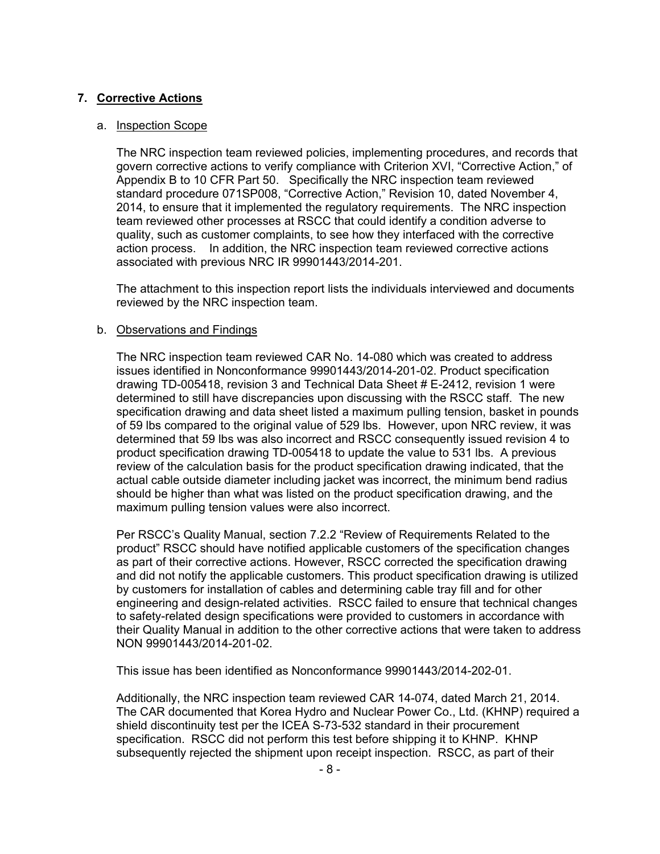## **7. Corrective Actions**

### a. Inspection Scope

The NRC inspection team reviewed policies, implementing procedures, and records that govern corrective actions to verify compliance with Criterion XVI, "Corrective Action," of Appendix B to 10 CFR Part 50. Specifically the NRC inspection team reviewed standard procedure 071SP008, "Corrective Action," Revision 10, dated November 4, 2014, to ensure that it implemented the regulatory requirements. The NRC inspection team reviewed other processes at RSCC that could identify a condition adverse to quality, such as customer complaints, to see how they interfaced with the corrective action process. In addition, the NRC inspection team reviewed corrective actions associated with previous NRC IR 99901443/2014-201.

The attachment to this inspection report lists the individuals interviewed and documents reviewed by the NRC inspection team.

### b. Observations and Findings

The NRC inspection team reviewed CAR No. 14-080 which was created to address issues identified in Nonconformance 99901443/2014-201-02. Product specification drawing TD-005418, revision 3 and Technical Data Sheet # E-2412, revision 1 were determined to still have discrepancies upon discussing with the RSCC staff. The new specification drawing and data sheet listed a maximum pulling tension, basket in pounds of 59 lbs compared to the original value of 529 lbs. However, upon NRC review, it was determined that 59 lbs was also incorrect and RSCC consequently issued revision 4 to product specification drawing TD-005418 to update the value to 531 lbs. A previous review of the calculation basis for the product specification drawing indicated, that the actual cable outside diameter including jacket was incorrect, the minimum bend radius should be higher than what was listed on the product specification drawing, and the maximum pulling tension values were also incorrect.

Per RSCC's Quality Manual, section 7.2.2 "Review of Requirements Related to the product" RSCC should have notified applicable customers of the specification changes as part of their corrective actions. However, RSCC corrected the specification drawing and did not notify the applicable customers. This product specification drawing is utilized by customers for installation of cables and determining cable tray fill and for other engineering and design-related activities. RSCC failed to ensure that technical changes to safety-related design specifications were provided to customers in accordance with their Quality Manual in addition to the other corrective actions that were taken to address NON 99901443/2014-201-02.

This issue has been identified as Nonconformance 99901443/2014-202-01.

Additionally, the NRC inspection team reviewed CAR 14-074, dated March 21, 2014. The CAR documented that Korea Hydro and Nuclear Power Co., Ltd. (KHNP) required a shield discontinuity test per the ICEA S-73-532 standard in their procurement specification. RSCC did not perform this test before shipping it to KHNP. KHNP subsequently rejected the shipment upon receipt inspection. RSCC, as part of their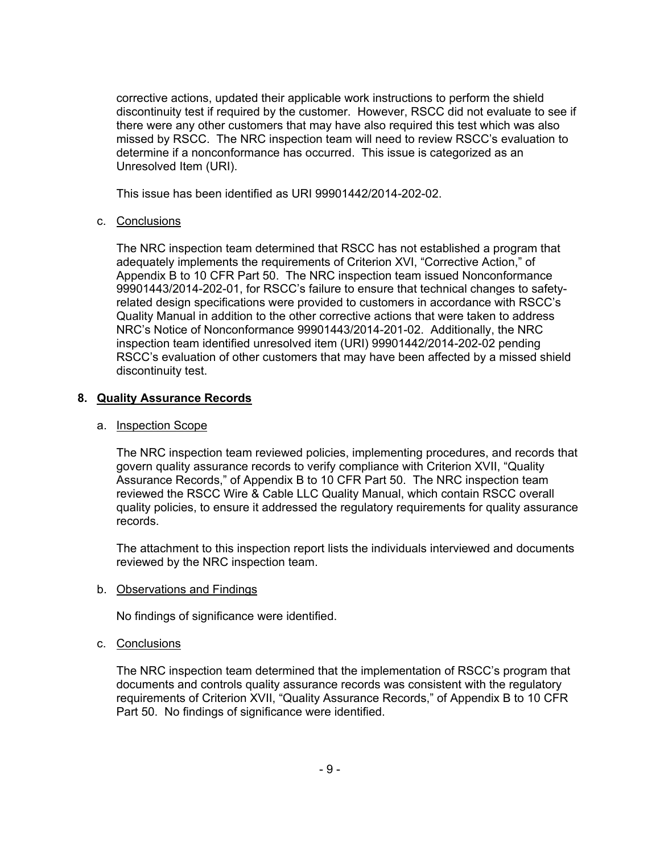corrective actions, updated their applicable work instructions to perform the shield discontinuity test if required by the customer. However, RSCC did not evaluate to see if there were any other customers that may have also required this test which was also missed by RSCC. The NRC inspection team will need to review RSCC's evaluation to determine if a nonconformance has occurred. This issue is categorized as an Unresolved Item (URI).

This issue has been identified as URI 99901442/2014-202-02.

## c. Conclusions

The NRC inspection team determined that RSCC has not established a program that adequately implements the requirements of Criterion XVI, "Corrective Action," of Appendix B to 10 CFR Part 50. The NRC inspection team issued Nonconformance 99901443/2014-202-01, for RSCC's failure to ensure that technical changes to safetyrelated design specifications were provided to customers in accordance with RSCC's Quality Manual in addition to the other corrective actions that were taken to address NRC's Notice of Nonconformance 99901443/2014-201-02. Additionally, the NRC inspection team identified unresolved item (URI) 99901442/2014-202-02 pending RSCC's evaluation of other customers that may have been affected by a missed shield discontinuity test.

## **8. Quality Assurance Records**

## a. Inspection Scope

The NRC inspection team reviewed policies, implementing procedures, and records that govern quality assurance records to verify compliance with Criterion XVII, "Quality Assurance Records," of Appendix B to 10 CFR Part 50. The NRC inspection team reviewed the RSCC Wire & Cable LLC Quality Manual, which contain RSCC overall quality policies, to ensure it addressed the regulatory requirements for quality assurance records.

The attachment to this inspection report lists the individuals interviewed and documents reviewed by the NRC inspection team.

## b. Observations and Findings

No findings of significance were identified.

## c. Conclusions

The NRC inspection team determined that the implementation of RSCC's program that documents and controls quality assurance records was consistent with the regulatory requirements of Criterion XVII, "Quality Assurance Records," of Appendix B to 10 CFR Part 50. No findings of significance were identified.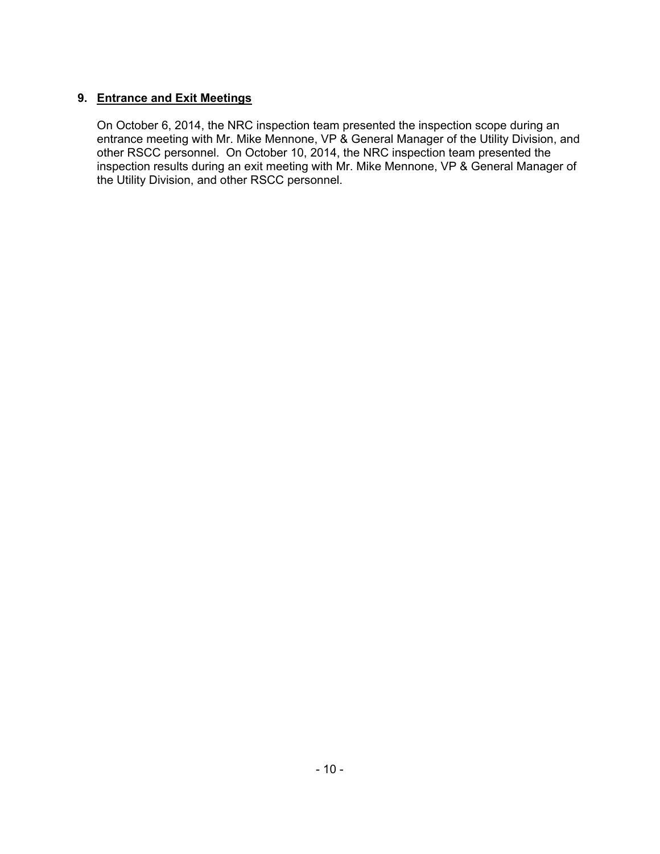# **9. Entrance and Exit Meetings**

On October 6, 2014, the NRC inspection team presented the inspection scope during an entrance meeting with Mr. Mike Mennone, VP & General Manager of the Utility Division, and other RSCC personnel. On October 10, 2014, the NRC inspection team presented the inspection results during an exit meeting with Mr. Mike Mennone, VP & General Manager of the Utility Division, and other RSCC personnel.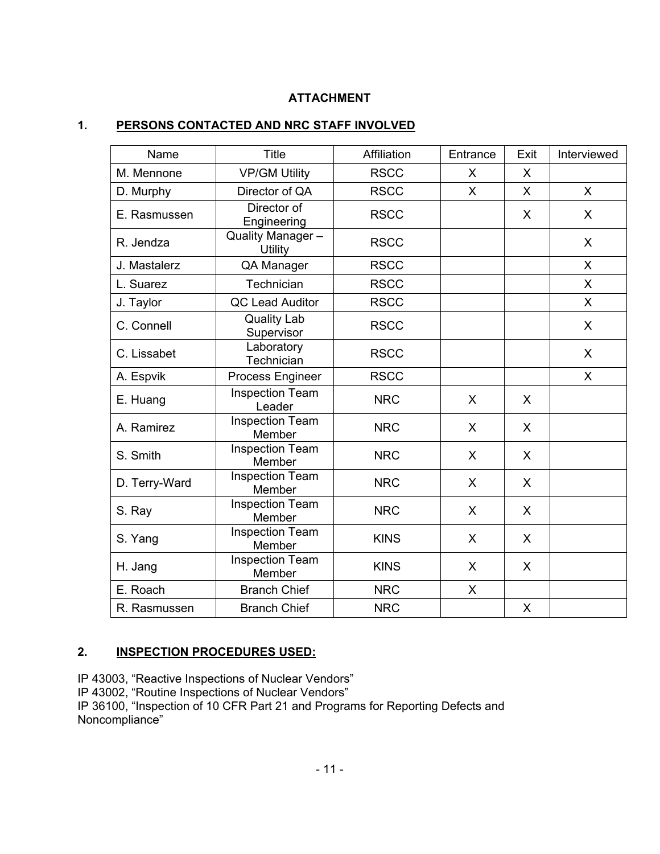# **ATTACHMENT**

# **1. PERSONS CONTACTED AND NRC STAFF INVOLVED**

| Name          | <b>Title</b>                       | Affiliation | Entrance     | Exit         | Interviewed  |
|---------------|------------------------------------|-------------|--------------|--------------|--------------|
| M. Mennone    | <b>VP/GM Utility</b>               | <b>RSCC</b> | X            | X            |              |
| D. Murphy     | Director of QA                     | <b>RSCC</b> | $\mathsf{X}$ | $\mathsf{X}$ | $\mathsf{X}$ |
| E. Rasmussen  | Director of<br>Engineering         | <b>RSCC</b> |              | X            | X            |
| R. Jendza     | Quality Manager-<br><b>Utility</b> | <b>RSCC</b> |              |              | $\mathsf{X}$ |
| J. Mastalerz  | QA Manager                         | <b>RSCC</b> |              |              | X            |
| L. Suarez     | Technician                         | <b>RSCC</b> |              |              | $\mathsf{X}$ |
| J. Taylor     | QC Lead Auditor                    | <b>RSCC</b> |              |              | X            |
| C. Connell    | <b>Quality Lab</b><br>Supervisor   | <b>RSCC</b> |              |              | $\mathsf{X}$ |
| C. Lissabet   | Laboratory<br>Technician           | <b>RSCC</b> |              |              | $\mathsf{X}$ |
| A. Espvik     | Process Engineer                   | <b>RSCC</b> |              |              | X            |
| E. Huang      | <b>Inspection Team</b><br>Leader   | <b>NRC</b>  | X            | X            |              |
| A. Ramirez    | <b>Inspection Team</b><br>Member   | <b>NRC</b>  | X            | X            |              |
| S. Smith      | <b>Inspection Team</b><br>Member   | <b>NRC</b>  | X            | X            |              |
| D. Terry-Ward | Inspection Team<br>Member          | <b>NRC</b>  | X            | X            |              |
| S. Ray        | <b>Inspection Team</b><br>Member   | <b>NRC</b>  | X            | X            |              |
| S. Yang       | <b>Inspection Team</b><br>Member   | <b>KINS</b> | X            | X            |              |
| H. Jang       | <b>Inspection Team</b><br>Member   | <b>KINS</b> | X            | X            |              |
| E. Roach      | <b>Branch Chief</b>                | <b>NRC</b>  | X            |              |              |
| R. Rasmussen  | <b>Branch Chief</b>                | <b>NRC</b>  |              | X            |              |

# **2. INSPECTION PROCEDURES USED:**

IP 43003, "Reactive Inspections of Nuclear Vendors"

IP 43002, "Routine Inspections of Nuclear Vendors"

IP 36100, "Inspection of 10 CFR Part 21 and Programs for Reporting Defects and Noncompliance"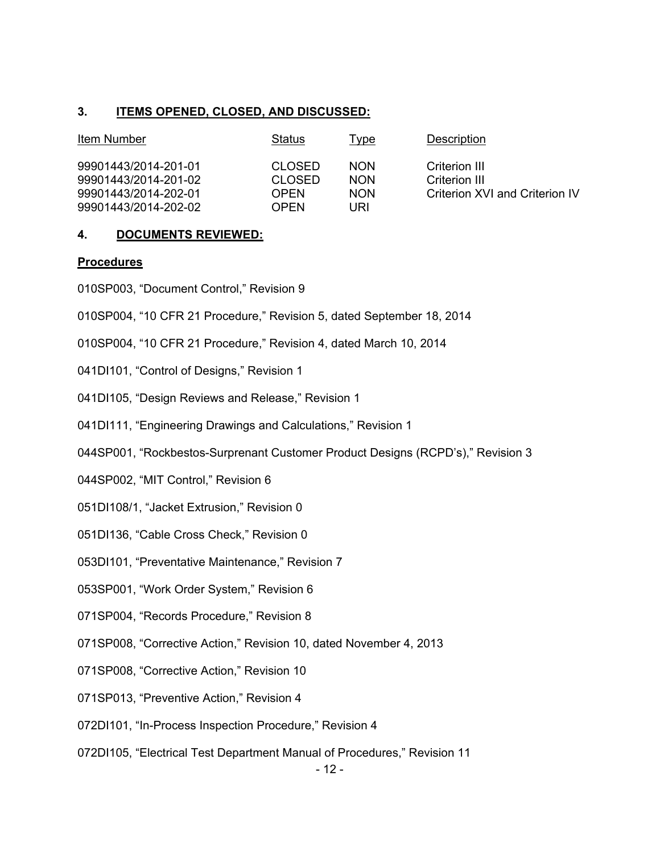# **3. ITEMS OPENED, CLOSED, AND DISCUSSED:**

| Item Number                                                                                  | Status                                         | Type                                    | Description                                                      |
|----------------------------------------------------------------------------------------------|------------------------------------------------|-----------------------------------------|------------------------------------------------------------------|
| 99901443/2014-201-01<br>99901443/2014-201-02<br>99901443/2014-202-01<br>99901443/2014-202-02 | <b>CLOSED</b><br>CLOSED<br><b>OPFN</b><br>OPFN | NON.<br><b>NON</b><br><b>NON</b><br>JRI | Criterion III<br>Criterion III<br>Criterion XVI and Criterion IV |

## **4. DOCUMENTS REVIEWED:**

#### **Procedures**

- 010SP003, "Document Control," Revision 9
- 010SP004, "10 CFR 21 Procedure," Revision 5, dated September 18, 2014
- 010SP004, "10 CFR 21 Procedure," Revision 4, dated March 10, 2014
- 041DI101, "Control of Designs," Revision 1
- 041DI105, "Design Reviews and Release," Revision 1
- 041DI111, "Engineering Drawings and Calculations," Revision 1
- 044SP001, "Rockbestos-Surprenant Customer Product Designs (RCPD's)," Revision 3
- 044SP002, "MIT Control," Revision 6
- 051DI108/1, "Jacket Extrusion," Revision 0
- 051DI136, "Cable Cross Check," Revision 0
- 053DI101, "Preventative Maintenance," Revision 7
- 053SP001, "Work Order System," Revision 6
- 071SP004, "Records Procedure," Revision 8
- 071SP008, "Corrective Action," Revision 10, dated November 4, 2013
- 071SP008, "Corrective Action," Revision 10
- 071SP013, "Preventive Action," Revision 4
- 072DI101, "In-Process Inspection Procedure," Revision 4
- 072DI105, "Electrical Test Department Manual of Procedures," Revision 11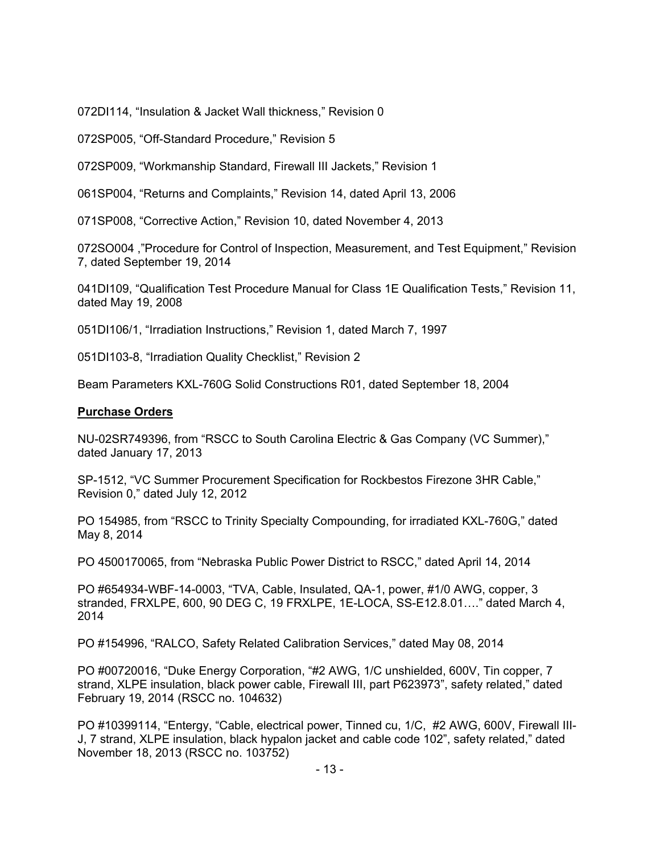072DI114, "Insulation & Jacket Wall thickness," Revision 0

072SP005, "Off-Standard Procedure," Revision 5

072SP009, "Workmanship Standard, Firewall III Jackets," Revision 1

061SP004, "Returns and Complaints," Revision 14, dated April 13, 2006

071SP008, "Corrective Action," Revision 10, dated November 4, 2013

072SO004 ,"Procedure for Control of Inspection, Measurement, and Test Equipment," Revision 7, dated September 19, 2014

041DI109, "Qualification Test Procedure Manual for Class 1E Qualification Tests," Revision 11, dated May 19, 2008

051DI106/1, "Irradiation Instructions," Revision 1, dated March 7, 1997

051DI103-8, "Irradiation Quality Checklist," Revision 2

Beam Parameters KXL-760G Solid Constructions R01, dated September 18, 2004

### **Purchase Orders**

NU-02SR749396, from "RSCC to South Carolina Electric & Gas Company (VC Summer)," dated January 17, 2013

SP-1512, "VC Summer Procurement Specification for Rockbestos Firezone 3HR Cable," Revision 0," dated July 12, 2012

PO 154985, from "RSCC to Trinity Specialty Compounding, for irradiated KXL-760G," dated May 8, 2014

PO 4500170065, from "Nebraska Public Power District to RSCC," dated April 14, 2014

PO #654934-WBF-14-0003, "TVA, Cable, Insulated, QA-1, power, #1/0 AWG, copper, 3 stranded, FRXLPE, 600, 90 DEG C, 19 FRXLPE, 1E-LOCA, SS-E12.8.01…." dated March 4, 2014

PO #154996, "RALCO, Safety Related Calibration Services," dated May 08, 2014

PO #00720016, "Duke Energy Corporation, "#2 AWG, 1/C unshielded, 600V, Tin copper, 7 strand, XLPE insulation, black power cable, Firewall III, part P623973", safety related," dated February 19, 2014 (RSCC no. 104632)

PO #10399114, "Entergy, "Cable, electrical power, Tinned cu, 1/C, #2 AWG, 600V, Firewall III-J, 7 strand, XLPE insulation, black hypalon jacket and cable code 102", safety related," dated November 18, 2013 (RSCC no. 103752)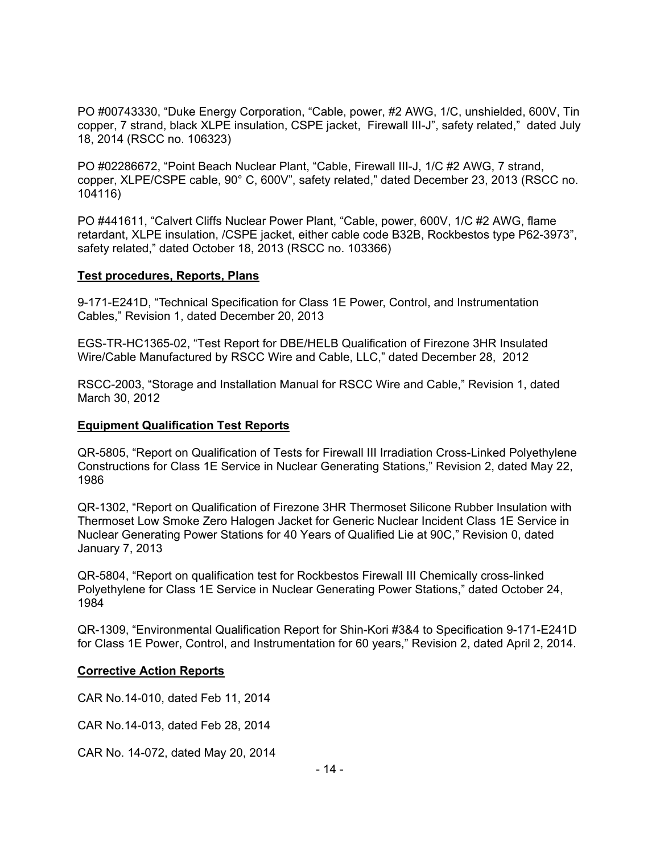PO #00743330, "Duke Energy Corporation, "Cable, power, #2 AWG, 1/C, unshielded, 600V, Tin copper, 7 strand, black XLPE insulation, CSPE jacket, Firewall III-J", safety related," dated July 18, 2014 (RSCC no. 106323)

PO #02286672, "Point Beach Nuclear Plant, "Cable, Firewall III-J, 1/C #2 AWG, 7 strand, copper, XLPE/CSPE cable, 90° C, 600V", safety related," dated December 23, 2013 (RSCC no. 104116)

PO #441611, "Calvert Cliffs Nuclear Power Plant, "Cable, power, 600V, 1/C #2 AWG, flame retardant, XLPE insulation, /CSPE jacket, either cable code B32B, Rockbestos type P62-3973", safety related," dated October 18, 2013 (RSCC no. 103366)

#### **Test procedures, Reports, Plans**

9-171-E241D, "Technical Specification for Class 1E Power, Control, and Instrumentation Cables," Revision 1, dated December 20, 2013

EGS-TR-HC1365-02, "Test Report for DBE/HELB Qualification of Firezone 3HR Insulated Wire/Cable Manufactured by RSCC Wire and Cable, LLC," dated December 28, 2012

RSCC-2003, "Storage and Installation Manual for RSCC Wire and Cable," Revision 1, dated March 30, 2012

### **Equipment Qualification Test Reports**

QR-5805, "Report on Qualification of Tests for Firewall III Irradiation Cross-Linked Polyethylene Constructions for Class 1E Service in Nuclear Generating Stations," Revision 2, dated May 22, 1986

QR-1302, "Report on Qualification of Firezone 3HR Thermoset Silicone Rubber Insulation with Thermoset Low Smoke Zero Halogen Jacket for Generic Nuclear Incident Class 1E Service in Nuclear Generating Power Stations for 40 Years of Qualified Lie at 90C," Revision 0, dated January 7, 2013

QR-5804, "Report on qualification test for Rockbestos Firewall III Chemically cross-linked Polyethylene for Class 1E Service in Nuclear Generating Power Stations," dated October 24, 1984

QR-1309, "Environmental Qualification Report for Shin-Kori #3&4 to Specification 9-171-E241D for Class 1E Power, Control, and Instrumentation for 60 years," Revision 2, dated April 2, 2014.

#### **Corrective Action Reports**

CAR No.14-010, dated Feb 11, 2014

CAR No.14-013, dated Feb 28, 2014

CAR No. 14-072, dated May 20, 2014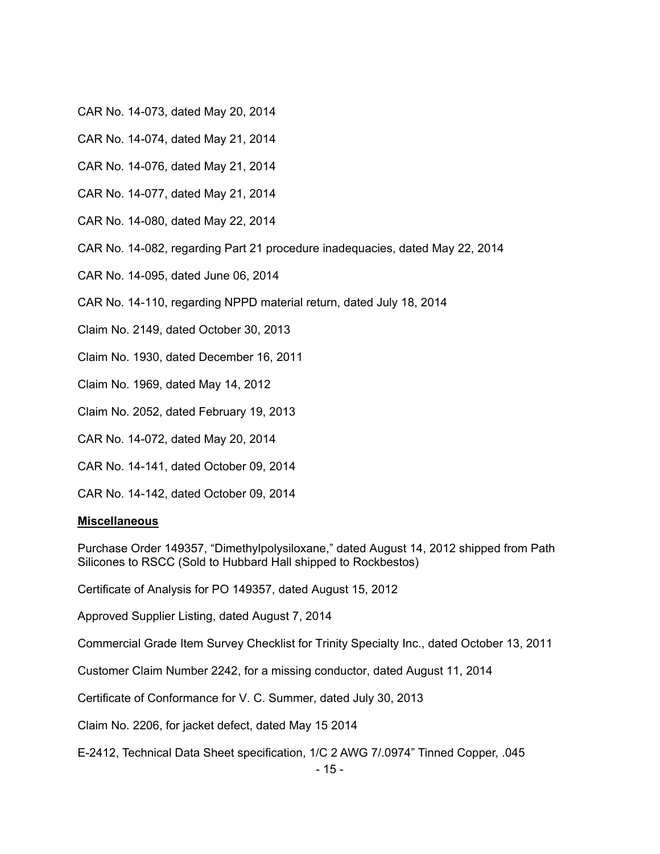- CAR No. 14-073, dated May 20, 2014
- CAR No. 14-074, dated May 21, 2014
- CAR No. 14-076, dated May 21, 2014
- CAR No. 14-077, dated May 21, 2014
- CAR No. 14-080, dated May 22, 2014
- CAR No. 14-082, regarding Part 21 procedure inadequacies, dated May 22, 2014

CAR No. 14-095, dated June 06, 2014

CAR No. 14-110, regarding NPPD material return, dated July 18, 2014

Claim No. 2149, dated October 30, 2013

Claim No. 1930, dated December 16, 2011

Claim No. 1969, dated May 14, 2012

Claim No. 2052, dated February 19, 2013

CAR No. 14-072, dated May 20, 2014

- CAR No. 14-141, dated October 09, 2014
- CAR No. 14-142, dated October 09, 2014

#### **Miscellaneous**

Purchase Order 149357, "Dimethylpolysiloxane," dated August 14, 2012 shipped from Path Silicones to RSCC (Sold to Hubbard Hall shipped to Rockbestos)

Certificate of Analysis for PO 149357, dated August 15, 2012

Approved Supplier Listing, dated August 7, 2014

Commercial Grade Item Survey Checklist for Trinity Specialty Inc., dated October 13, 2011

Customer Claim Number 2242, for a missing conductor, dated August 11, 2014

Certificate of Conformance for V. C. Summer, dated July 30, 2013

Claim No. 2206, for jacket defect, dated May 15 2014

E-2412, Technical Data Sheet specification, 1/C 2 AWG 7/.0974" Tinned Copper, .045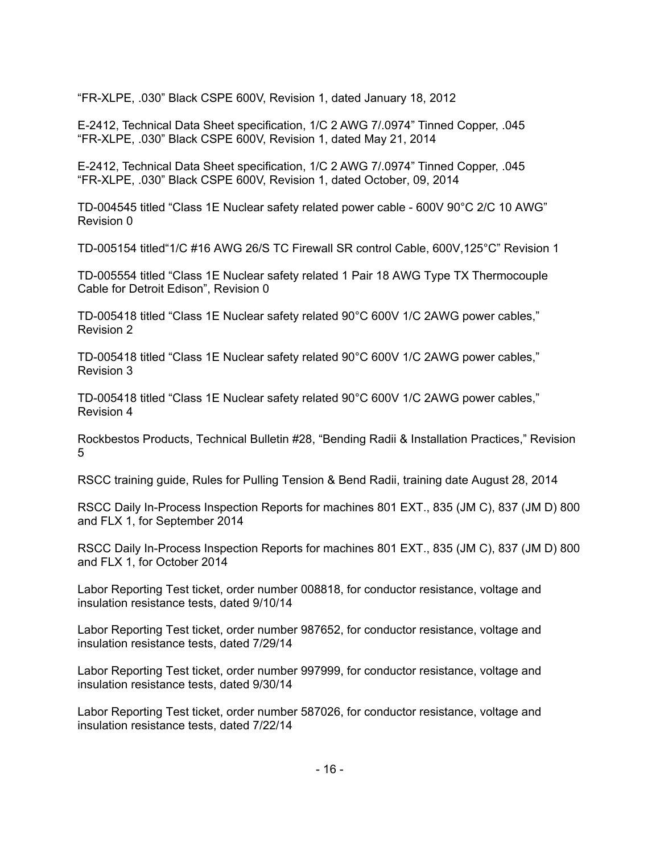"FR-XLPE, .030" Black CSPE 600V, Revision 1, dated January 18, 2012

E-2412, Technical Data Sheet specification, 1/C 2 AWG 7/.0974" Tinned Copper, .045 "FR-XLPE, .030" Black CSPE 600V, Revision 1, dated May 21, 2014

E-2412, Technical Data Sheet specification, 1/C 2 AWG 7/.0974" Tinned Copper, .045 "FR-XLPE, .030" Black CSPE 600V, Revision 1, dated October, 09, 2014

TD-004545 titled "Class 1E Nuclear safety related power cable - 600V 90°C 2/C 10 AWG" Revision 0

TD-005154 titled"1/C #16 AWG 26/S TC Firewall SR control Cable, 600V,125°C" Revision 1

TD-005554 titled "Class 1E Nuclear safety related 1 Pair 18 AWG Type TX Thermocouple Cable for Detroit Edison", Revision 0

TD-005418 titled "Class 1E Nuclear safety related 90°C 600V 1/C 2AWG power cables," Revision 2

TD-005418 titled "Class 1E Nuclear safety related 90°C 600V 1/C 2AWG power cables," Revision 3

TD-005418 titled "Class 1E Nuclear safety related 90°C 600V 1/C 2AWG power cables," Revision 4

Rockbestos Products, Technical Bulletin #28, "Bending Radii & Installation Practices," Revision 5

RSCC training guide, Rules for Pulling Tension & Bend Radii, training date August 28, 2014

RSCC Daily In-Process Inspection Reports for machines 801 EXT., 835 (JM C), 837 (JM D) 800 and FLX 1, for September 2014

RSCC Daily In-Process Inspection Reports for machines 801 EXT., 835 (JM C), 837 (JM D) 800 and FLX 1, for October 2014

Labor Reporting Test ticket, order number 008818, for conductor resistance, voltage and insulation resistance tests, dated 9/10/14

Labor Reporting Test ticket, order number 987652, for conductor resistance, voltage and insulation resistance tests, dated 7/29/14

Labor Reporting Test ticket, order number 997999, for conductor resistance, voltage and insulation resistance tests, dated 9/30/14

Labor Reporting Test ticket, order number 587026, for conductor resistance, voltage and insulation resistance tests, dated 7/22/14